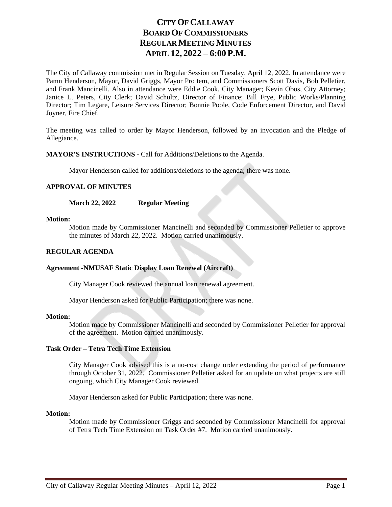# **CITY OF CALLAWAY BOARD OF COMMISSIONERS REGULAR MEETING MINUTES APRIL 12, 2022 – 6:00 P.M.**

The City of Callaway commission met in Regular Session on Tuesday, April 12, 2022. In attendance were Pamn Henderson, Mayor, David Griggs, Mayor Pro tem, and Commissioners Scott Davis, Bob Pelletier, and Frank Mancinelli. Also in attendance were Eddie Cook, City Manager; Kevin Obos, City Attorney; Janice L. Peters, City Clerk; David Schultz, Director of Finance; Bill Frye, Public Works/Planning Director; Tim Legare, Leisure Services Director; Bonnie Poole, Code Enforcement Director, and David Joyner, Fire Chief.

The meeting was called to order by Mayor Henderson, followed by an invocation and the Pledge of Allegiance.

# **MAYOR'S INSTRUCTIONS -** Call for Additions/Deletions to the Agenda.

Mayor Henderson called for additions/deletions to the agenda; there was none.

# **APPROVAL OF MINUTES**

**March 22, 2022 Regular Meeting**

#### **Motion:**

Motion made by Commissioner Mancinelli and seconded by Commissioner Pelletier to approve the minutes of March 22, 2022. Motion carried unanimously.

# **REGULAR AGENDA**

# **Agreement -NMUSAF Static Display Loan Renewal (Aircraft)**

City Manager Cook reviewed the annual loan renewal agreement.

Mayor Henderson asked for Public Participation; there was none.

#### **Motion:**

Motion made by Commissioner Mancinelli and seconded by Commissioner Pelletier for approval of the agreement. Motion carried unanimously.

# **Task Order – Tetra Tech Time Extension**

City Manager Cook advised this is a no-cost change order extending the period of performance through October 31, 2022. Commissioner Pelletier asked for an update on what projects are still ongoing, which City Manager Cook reviewed.

Mayor Henderson asked for Public Participation; there was none.

#### **Motion:**

Motion made by Commissioner Griggs and seconded by Commissioner Mancinelli for approval of Tetra Tech Time Extension on Task Order #7. Motion carried unanimously.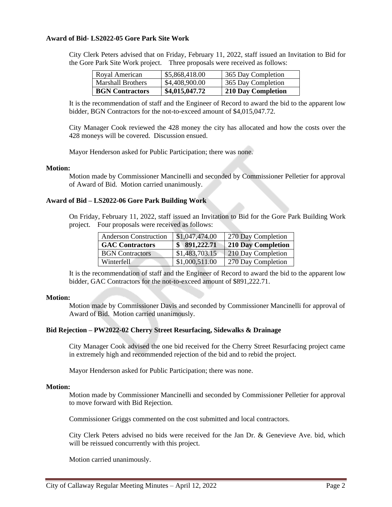### **Award of Bid- LS2022-05 Gore Park Site Work**

City Clerk Peters advised that on Friday, February 11, 2022, staff issued an Invitation to Bid for the Gore Park Site Work project. Three proposals were received as follows:

| Royal American         | \$5,868,418.00 | 365 Day Completion |
|------------------------|----------------|--------------------|
| Marshall Brothers      | \$4,408,900.00 | 365 Day Completion |
| <b>BGN</b> Contractors | \$4,015,047.72 | 210 Day Completion |

It is the recommendation of staff and the Engineer of Record to award the bid to the apparent low bidder, BGN Contractors for the not-to-exceed amount of \$4,015,047.72.

City Manager Cook reviewed the 428 money the city has allocated and how the costs over the 428 moneys will be covered. Discussion ensued.

Mayor Henderson asked for Public Participation; there was none.

#### **Motion:**

Motion made by Commissioner Mancinelli and seconded by Commissioner Pelletier for approval of Award of Bid. Motion carried unanimously.

### **Award of Bid – LS2022-06 Gore Park Building Work**

On Friday, February 11, 2022, staff issued an Invitation to Bid for the Gore Park Building Work project. Four proposals were received as follows:

| <b>Anderson Construction</b> | \$1,047,474.00 | 270 Day Completion |
|------------------------------|----------------|--------------------|
| <b>GAC</b> Contractors       | \$891,222.71   | 210 Day Completion |
| <b>BGN</b> Contractors       | \$1,483,703.15 | 210 Day Completion |
| Winterfell                   | \$1,000,511.00 | 270 Day Completion |

It is the recommendation of staff and the Engineer of Record to award the bid to the apparent low bidder, GAC Contractors for the not-to-exceed amount of \$891,222.71.

#### **Motion:**

Motion made by Commissioner Davis and seconded by Commissioner Mancinelli for approval of Award of Bid. Motion carried unanimously.

#### **Bid Rejection – PW2022-02 Cherry Street Resurfacing, Sidewalks & Drainage**

City Manager Cook advised the one bid received for the Cherry Street Resurfacing project came in extremely high and recommended rejection of the bid and to rebid the project.

Mayor Henderson asked for Public Participation; there was none.

#### **Motion:**

Motion made by Commissioner Mancinelli and seconded by Commissioner Pelletier for approval to move forward with Bid Rejection.

Commissioner Griggs commented on the cost submitted and local contractors.

City Clerk Peters advised no bids were received for the Jan Dr. & Genevieve Ave. bid, which will be reissued concurrently with this project.

Motion carried unanimously.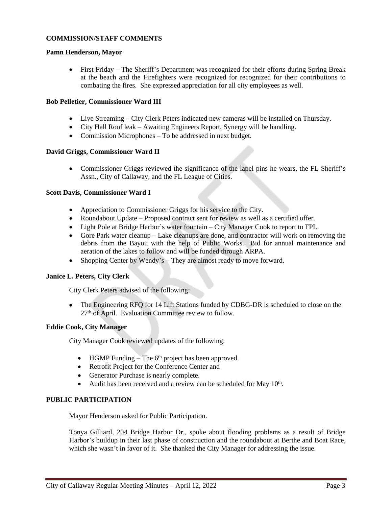# **COMMISSION/STAFF COMMENTS**

### **Pamn Henderson, Mayor**

 First Friday – The Sheriff's Department was recognized for their efforts during Spring Break at the beach and the Firefighters were recognized for recognized for their contributions to combating the fires. She expressed appreciation for all city employees as well.

### **Bob Pelletier, Commissioner Ward III**

- Live Streaming City Clerk Peters indicated new cameras will be installed on Thursday.
- City Hall Roof leak Awaiting Engineers Report, Synergy will be handling.
- Commission Microphones To be addressed in next budget.

# **David Griggs, Commissioner Ward II**

 Commissioner Griggs reviewed the significance of the lapel pins he wears, the FL Sheriff's Assn., City of Callaway, and the FL League of Cities.

### **Scott Davis, Commissioner Ward I**

- Appreciation to Commissioner Griggs for his service to the City.
- Roundabout Update Proposed contract sent for review as well as a certified offer.
- Light Pole at Bridge Harbor's water fountain City Manager Cook to report to FPL.
- Gore Park water cleanup Lake cleanups are done, and contractor will work on removing the debris from the Bayou with the help of Public Works. Bid for annual maintenance and aeration of the lakes to follow and will be funded through ARPA.
- Shopping Center by Wendy's They are almost ready to move forward.

# **Janice L. Peters, City Clerk**

City Clerk Peters advised of the following:

• The Engineering RFQ for 14 Lift Stations funded by CDBG-DR is scheduled to close on the 27th of April. Evaluation Committee review to follow.

# **Eddie Cook, City Manager**

City Manager Cook reviewed updates of the following:

- $\bullet$  HGMP Funding The 6<sup>th</sup> project has been approved.
- Retrofit Project for the Conference Center and
- Generator Purchase is nearly complete.
- Audit has been received and a review can be scheduled for May  $10<sup>th</sup>$ .

# **PUBLIC PARTICIPATION**

Mayor Henderson asked for Public Participation.

Tonya Gilliard, 204 Bridge Harbor Dr., spoke about flooding problems as a result of Bridge Harbor's buildup in their last phase of construction and the roundabout at Berthe and Boat Race, which she wasn't in favor of it. She thanked the City Manager for addressing the issue.